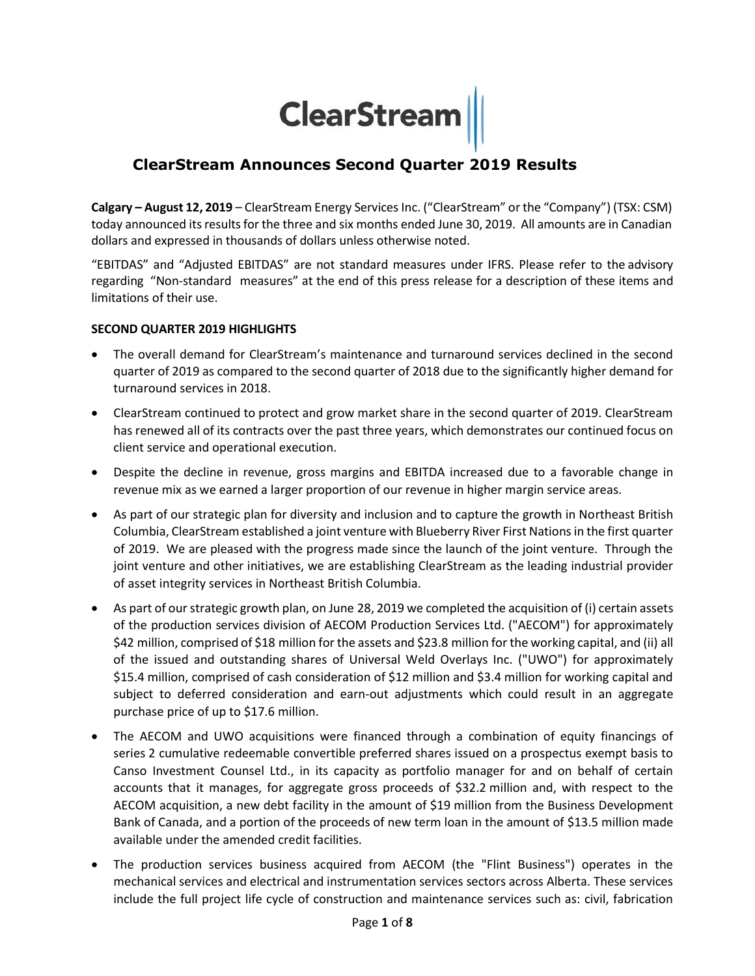# **ClearStream**

# **ClearStream Announces Second Quarter 2019 Results**

**Calgary – August 12, 2019** – ClearStream Energy Services Inc. ("ClearStream" or the "Company") (TSX: CSM) today announced its results for the three and six months ended June 30, 2019. All amounts are in Canadian dollars and expressed in thousands of dollars unless otherwise noted.

"EBITDAS" and "Adjusted EBITDAS" are not standard measures under IFRS. Please refer to the advisory regarding "Non-standard measures" at the end of this press release for a description of these items and limitations of their use.

#### **SECOND QUARTER 2019 HIGHLIGHTS**

- The overall demand for ClearStream's maintenance and turnaround services declined in the second quarter of 2019 as compared to the second quarter of 2018 due to the significantly higher demand for turnaround services in 2018.
- ClearStream continued to protect and grow market share in the second quarter of 2019. ClearStream has renewed all of its contracts over the past three years, which demonstrates our continued focus on client service and operational execution.
- Despite the decline in revenue, gross margins and EBITDA increased due to a favorable change in revenue mix as we earned a larger proportion of our revenue in higher margin service areas.
- As part of our strategic plan for diversity and inclusion and to capture the growth in Northeast British Columbia, ClearStream established a joint venture with Blueberry River First Nations in the first quarter of 2019. We are pleased with the progress made since the launch of the joint venture. Through the joint venture and other initiatives, we are establishing ClearStream as the leading industrial provider of asset integrity services in Northeast British Columbia.
- As part of our strategic growth plan, on June 28, 2019 we completed the acquisition of (i) certain assets of the production services division of AECOM Production Services Ltd. ("AECOM") for approximately \$42 million, comprised of \$18 million for the assets and \$23.8 million for the working capital, and (ii) all of the issued and outstanding shares of Universal Weld Overlays Inc. ("UWO") for approximately \$15.4 million, comprised of cash consideration of \$12 million and \$3.4 million for working capital and subject to deferred consideration and earn-out adjustments which could result in an aggregate purchase price of up to \$17.6 million.
- The AECOM and UWO acquisitions were financed through a combination of equity financings of series 2 cumulative redeemable convertible preferred shares issued on a prospectus exempt basis to Canso Investment Counsel Ltd., in its capacity as portfolio manager for and on behalf of certain accounts that it manages, for aggregate gross proceeds of \$32.2 million and, with respect to the AECOM acquisition, a new debt facility in the amount of \$19 million from the Business Development Bank of Canada, and a portion of the proceeds of new term loan in the amount of \$13.5 million made available under the amended credit facilities.
- The production services business acquired from AECOM (the "Flint Business") operates in the mechanical services and electrical and instrumentation services sectors across Alberta. These services include the full project life cycle of construction and maintenance services such as: civil, fabrication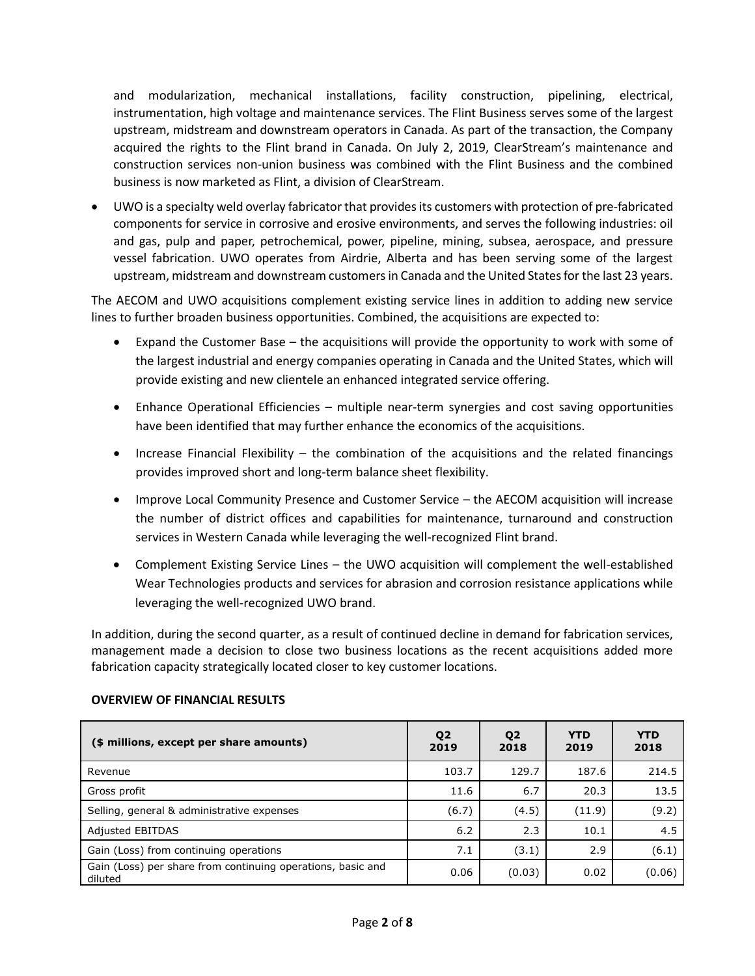and modularization, mechanical installations, facility construction, pipelining, electrical, instrumentation, high voltage and maintenance services. The Flint Business serves some of the largest upstream, midstream and downstream operators in Canada. As part of the transaction, the Company acquired the rights to the Flint brand in Canada. On July 2, 2019, ClearStream's maintenance and construction services non-union business was combined with the Flint Business and the combined business is now marketed as Flint, a division of ClearStream.

 UWO is a specialty weld overlay fabricator that provides its customers with protection of pre-fabricated components for service in corrosive and erosive environments, and serves the following industries: oil and gas, pulp and paper, petrochemical, power, pipeline, mining, subsea, aerospace, and pressure vessel fabrication. UWO operates from Airdrie, Alberta and has been serving some of the largest upstream, midstream and downstream customers in Canada and the United States for the last 23 years.

The AECOM and UWO acquisitions complement existing service lines in addition to adding new service lines to further broaden business opportunities. Combined, the acquisitions are expected to:

- Expand the Customer Base the acquisitions will provide the opportunity to work with some of the largest industrial and energy companies operating in Canada and the United States, which will provide existing and new clientele an enhanced integrated service offering.
- Enhance Operational Efficiencies multiple near-term synergies and cost saving opportunities have been identified that may further enhance the economics of the acquisitions.
- Increase Financial Flexibility the combination of the acquisitions and the related financings provides improved short and long-term balance sheet flexibility.
- Improve Local Community Presence and Customer Service the AECOM acquisition will increase the number of district offices and capabilities for maintenance, turnaround and construction services in Western Canada while leveraging the well-recognized Flint brand.
- Complement Existing Service Lines the UWO acquisition will complement the well-established Wear Technologies products and services for abrasion and corrosion resistance applications while leveraging the well-recognized UWO brand.

In addition, during the second quarter, as a result of continued decline in demand for fabrication services, management made a decision to close two business locations as the recent acquisitions added more fabrication capacity strategically located closer to key customer locations.

| (\$ millions, except per share amounts)                                | Q <sub>2</sub><br>2019 | Q <sub>2</sub><br>2018 | <b>YTD</b><br>2019 | <b>YTD</b><br>2018 |
|------------------------------------------------------------------------|------------------------|------------------------|--------------------|--------------------|
| Revenue                                                                | 103.7                  | 129.7                  | 187.6              | 214.5              |
| Gross profit                                                           | 11.6                   | 6.7                    | 20.3               | 13.5               |
| Selling, general & administrative expenses                             | (6.7)                  | (4.5)                  | (11.9)             | (9.2)              |
| <b>Adjusted EBITDAS</b>                                                | 6.2                    | 2.3                    | 10.1               | 4.5                |
| Gain (Loss) from continuing operations                                 | 7.1                    | (3.1)                  | 2.9                | (6.1)              |
| Gain (Loss) per share from continuing operations, basic and<br>diluted | 0.06                   | (0.03)                 | 0.02               | (0.06)             |

#### **OVERVIEW OF FINANCIAL RESULTS**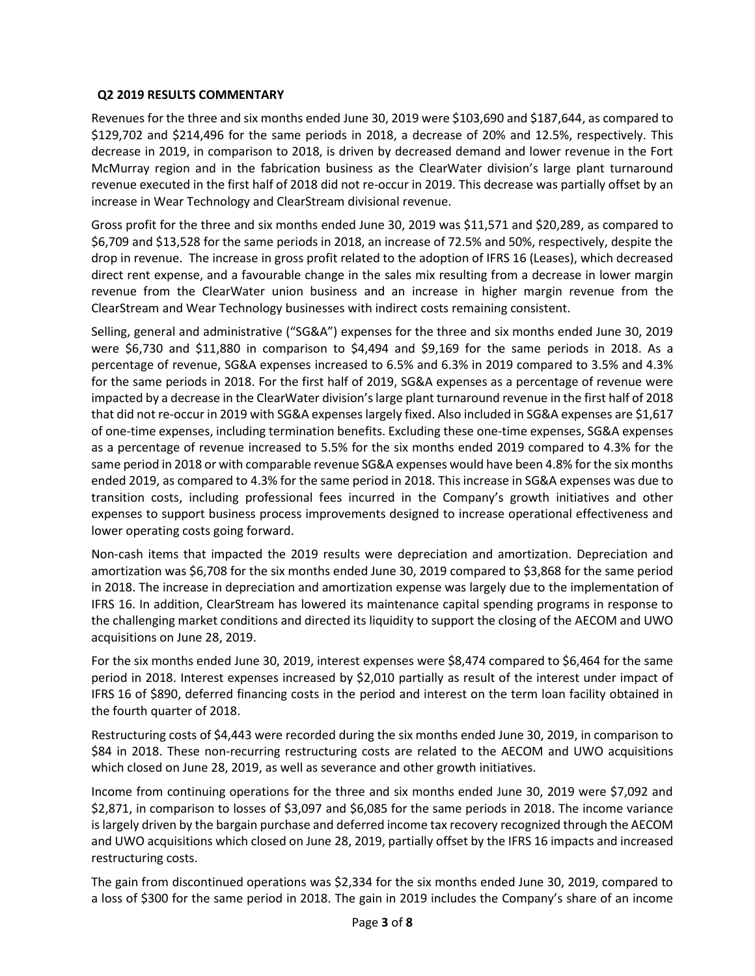## **Q2 2019 RESULTS COMMENTARY**

Revenues for the three and six months ended June 30, 2019 were \$103,690 and \$187,644, as compared to \$129,702 and \$214,496 for the same periods in 2018, a decrease of 20% and 12.5%, respectively. This decrease in 2019, in comparison to 2018, is driven by decreased demand and lower revenue in the Fort McMurray region and in the fabrication business as the ClearWater division's large plant turnaround revenue executed in the first half of 2018 did not re-occur in 2019. This decrease was partially offset by an increase in Wear Technology and ClearStream divisional revenue.

Gross profit for the three and six months ended June 30, 2019 was \$11,571 and \$20,289, as compared to \$6,709 and \$13,528 for the same periods in 2018, an increase of 72.5% and 50%, respectively, despite the drop in revenue. The increase in gross profit related to the adoption of IFRS 16 (Leases), which decreased direct rent expense, and a favourable change in the sales mix resulting from a decrease in lower margin revenue from the ClearWater union business and an increase in higher margin revenue from the ClearStream and Wear Technology businesses with indirect costs remaining consistent.

Selling, general and administrative ("SG&A") expenses for the three and six months ended June 30, 2019 were \$6,730 and \$11,880 in comparison to \$4,494 and \$9,169 for the same periods in 2018. As a percentage of revenue, SG&A expenses increased to 6.5% and 6.3% in 2019 compared to 3.5% and 4.3% for the same periods in 2018. For the first half of 2019, SG&A expenses as a percentage of revenue were impacted by a decrease in the ClearWater division's large plant turnaround revenue in the first half of 2018 that did not re-occur in 2019 with SG&A expenses largely fixed. Also included in SG&A expenses are \$1,617 of one-time expenses, including termination benefits. Excluding these one-time expenses, SG&A expenses as a percentage of revenue increased to 5.5% for the six months ended 2019 compared to 4.3% for the same period in 2018 or with comparable revenue SG&A expenses would have been 4.8% for the six months ended 2019, as compared to 4.3% for the same period in 2018. This increase in SG&A expenses was due to transition costs, including professional fees incurred in the Company's growth initiatives and other expenses to support business process improvements designed to increase operational effectiveness and lower operating costs going forward.

Non-cash items that impacted the 2019 results were depreciation and amortization. Depreciation and amortization was \$6,708 for the six months ended June 30, 2019 compared to \$3,868 for the same period in 2018. The increase in depreciation and amortization expense was largely due to the implementation of IFRS 16. In addition, ClearStream has lowered its maintenance capital spending programs in response to the challenging market conditions and directed its liquidity to support the closing of the AECOM and UWO acquisitions on June 28, 2019.

For the six months ended June 30, 2019, interest expenses were \$8,474 compared to \$6,464 for the same period in 2018. Interest expenses increased by \$2,010 partially as result of the interest under impact of IFRS 16 of \$890, deferred financing costs in the period and interest on the term loan facility obtained in the fourth quarter of 2018.

Restructuring costs of \$4,443 were recorded during the six months ended June 30, 2019, in comparison to \$84 in 2018. These non-recurring restructuring costs are related to the AECOM and UWO acquisitions which closed on June 28, 2019, as well as severance and other growth initiatives.

Income from continuing operations for the three and six months ended June 30, 2019 were \$7,092 and \$2,871, in comparison to losses of \$3,097 and \$6,085 for the same periods in 2018. The income variance is largely driven by the bargain purchase and deferred income tax recovery recognized through the AECOM and UWO acquisitions which closed on June 28, 2019, partially offset by the IFRS 16 impacts and increased restructuring costs.

The gain from discontinued operations was \$2,334 for the six months ended June 30, 2019, compared to a loss of \$300 for the same period in 2018. The gain in 2019 includes the Company's share of an income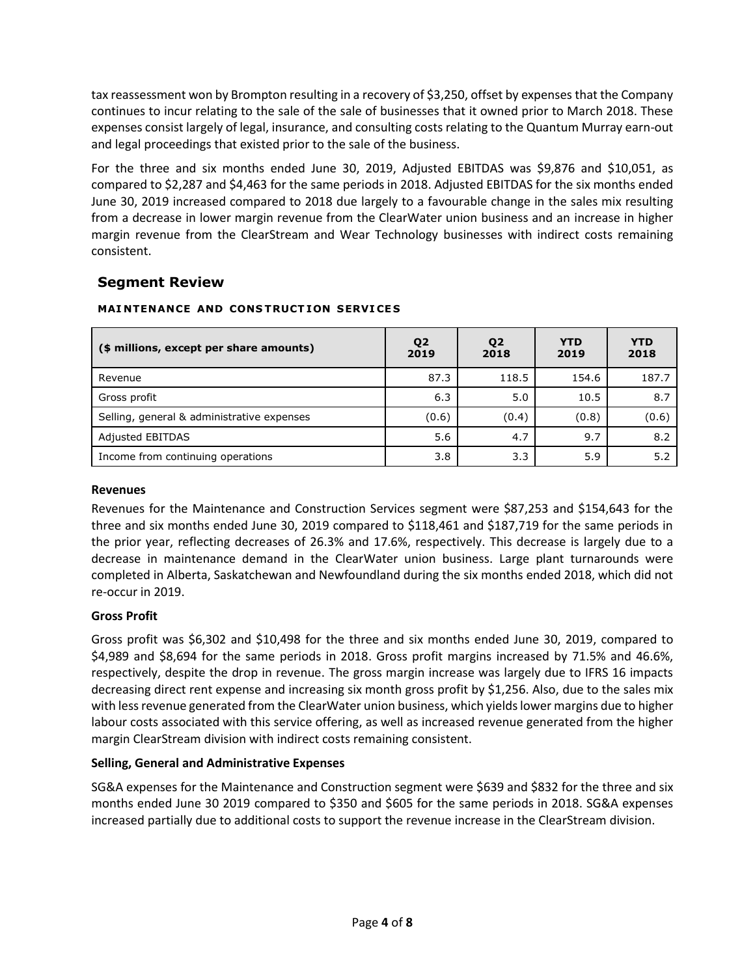tax reassessment won by Brompton resulting in a recovery of \$3,250, offset by expenses that the Company continues to incur relating to the sale of the sale of businesses that it owned prior to March 2018. These expenses consist largely of legal, insurance, and consulting costs relating to the Quantum Murray earn-out and legal proceedings that existed prior to the sale of the business.

For the three and six months ended June 30, 2019, Adjusted EBITDAS was \$9,876 and \$10,051, as compared to \$2,287 and \$4,463 for the same periods in 2018. Adjusted EBITDAS for the six months ended June 30, 2019 increased compared to 2018 due largely to a favourable change in the sales mix resulting from a decrease in lower margin revenue from the ClearWater union business and an increase in higher margin revenue from the ClearStream and Wear Technology businesses with indirect costs remaining consistent.

## **Segment Review**

| (\$ millions, except per share amounts)    | Q <sub>2</sub><br>2019 | Q <sub>2</sub><br>2018 | <b>YTD</b><br>2019 | <b>YTD</b><br>2018 |
|--------------------------------------------|------------------------|------------------------|--------------------|--------------------|
| Revenue                                    | 87.3                   | 118.5                  | 154.6              | 187.7              |
| Gross profit                               | 6.3                    | 5.0                    | 10.5               | 8.7                |
| Selling, general & administrative expenses | (0.6)                  | (0.4)                  | (0.8)              | (0.6)              |
| <b>Adjusted EBITDAS</b>                    | 5.6                    | 4.7                    | 9.7                | 8.2                |
| Income from continuing operations          | 3.8                    | 3.3                    | 5.9                | 5.2                |

## **MAI NTENANCE AND CONS TRUCT ION SERVI CE S**

#### **Revenues**

Revenues for the Maintenance and Construction Services segment were \$87,253 and \$154,643 for the three and six months ended June 30, 2019 compared to \$118,461 and \$187,719 for the same periods in the prior year, reflecting decreases of 26.3% and 17.6%, respectively. This decrease is largely due to a decrease in maintenance demand in the ClearWater union business. Large plant turnarounds were completed in Alberta, Saskatchewan and Newfoundland during the six months ended 2018, which did not re-occur in 2019.

## **Gross Profit**

Gross profit was \$6,302 and \$10,498 for the three and six months ended June 30, 2019, compared to \$4,989 and \$8,694 for the same periods in 2018. Gross profit margins increased by 71.5% and 46.6%, respectively, despite the drop in revenue. The gross margin increase was largely due to IFRS 16 impacts decreasing direct rent expense and increasing six month gross profit by \$1,256. Also, due to the sales mix with less revenue generated from the ClearWater union business, which yields lower margins due to higher labour costs associated with this service offering, as well as increased revenue generated from the higher margin ClearStream division with indirect costs remaining consistent.

## **Selling, General and Administrative Expenses**

SG&A expenses for the Maintenance and Construction segment were \$639 and \$832 for the three and six months ended June 30 2019 compared to \$350 and \$605 for the same periods in 2018. SG&A expenses increased partially due to additional costs to support the revenue increase in the ClearStream division.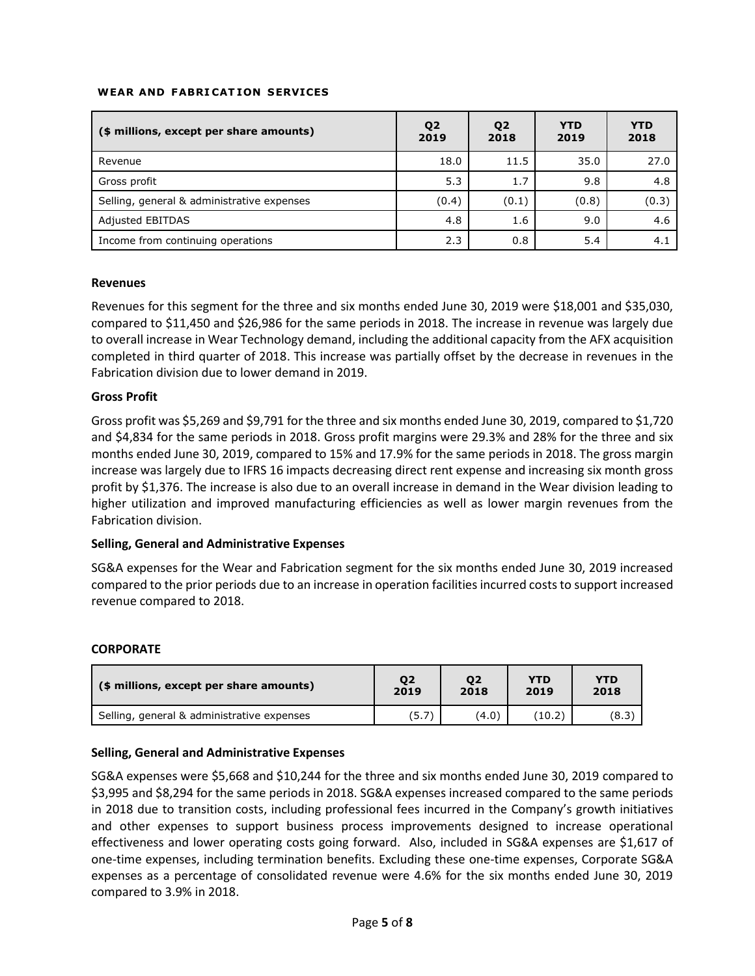#### **WEAR AND FABRI CAT ION SERVICES**

| (\$ millions, except per share amounts)    | Q <sub>2</sub><br>2019 | Q <sub>2</sub><br>2018 | <b>YTD</b><br>2019 | <b>YTD</b><br>2018 |
|--------------------------------------------|------------------------|------------------------|--------------------|--------------------|
| Revenue                                    | 18.0                   | 11.5                   | 35.0               | 27.0               |
| Gross profit                               | 5.3                    | 1.7                    | 9.8                | 4.8                |
| Selling, general & administrative expenses | (0.4)                  | (0.1)                  | (0.8)              | (0.3)              |
| <b>Adjusted EBITDAS</b>                    | 4.8                    | 1.6                    | 9.0                | 4.6                |
| Income from continuing operations          | 2.3                    | 0.8                    | 5.4                | 4.1                |

#### **Revenues**

Revenues for this segment for the three and six months ended June 30, 2019 were \$18,001 and \$35,030, compared to \$11,450 and \$26,986 for the same periods in 2018. The increase in revenue was largely due to overall increase in Wear Technology demand, including the additional capacity from the AFX acquisition completed in third quarter of 2018. This increase was partially offset by the decrease in revenues in the Fabrication division due to lower demand in 2019.

#### **Gross Profit**

Gross profit was \$5,269 and \$9,791 for the three and six months ended June 30, 2019, compared to \$1,720 and \$4,834 for the same periods in 2018. Gross profit margins were 29.3% and 28% for the three and six months ended June 30, 2019, compared to 15% and 17.9% for the same periods in 2018. The gross margin increase was largely due to IFRS 16 impacts decreasing direct rent expense and increasing six month gross profit by \$1,376. The increase is also due to an overall increase in demand in the Wear division leading to higher utilization and improved manufacturing efficiencies as well as lower margin revenues from the Fabrication division.

#### **Selling, General and Administrative Expenses**

SG&A expenses for the Wear and Fabrication segment for the six months ended June 30, 2019 increased compared to the prior periods due to an increase in operation facilities incurred costs to support increased revenue compared to 2018.

#### **CORPORATE**

| (\$ millions, except per share amounts)    | 02    | 02    | <b>YTD</b> | YTD   |
|--------------------------------------------|-------|-------|------------|-------|
|                                            | 2019  | 2018  | 2019       | 2018  |
| Selling, general & administrative expenses | (5.7) | (4.0) | (10.2)     | (8.3) |

#### **Selling, General and Administrative Expenses**

SG&A expenses were \$5,668 and \$10,244 for the three and six months ended June 30, 2019 compared to \$3,995 and \$8,294 for the same periods in 2018. SG&A expenses increased compared to the same periods in 2018 due to transition costs, including professional fees incurred in the Company's growth initiatives and other expenses to support business process improvements designed to increase operational effectiveness and lower operating costs going forward. Also, included in SG&A expenses are \$1,617 of one-time expenses, including termination benefits. Excluding these one-time expenses, Corporate SG&A expenses as a percentage of consolidated revenue were 4.6% for the six months ended June 30, 2019 compared to 3.9% in 2018.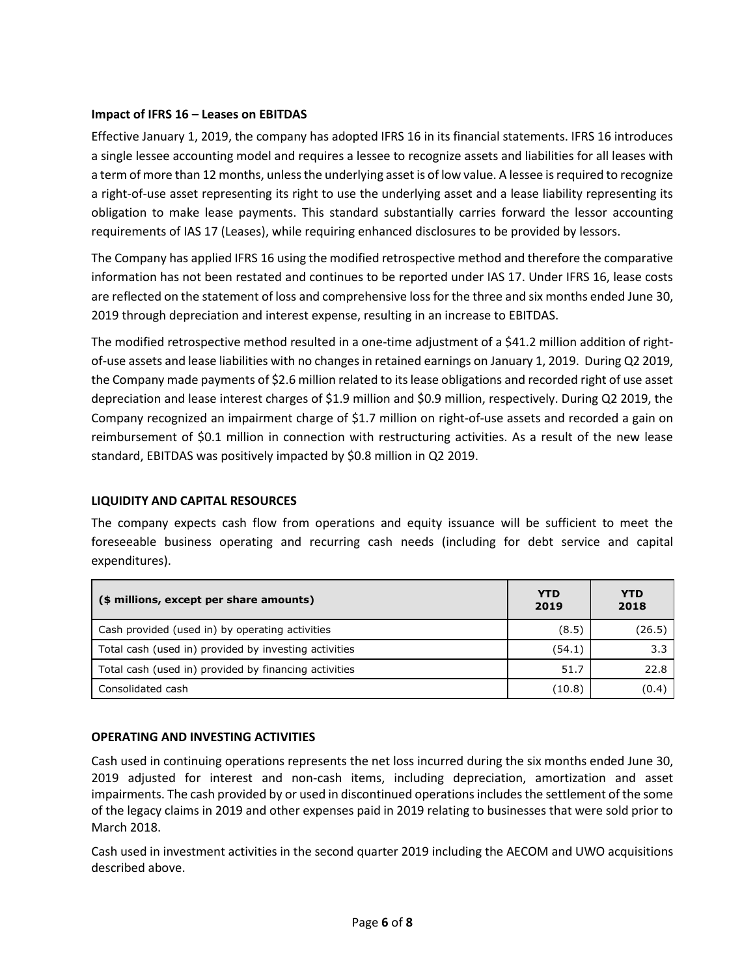## **Impact of IFRS 16 – Leases on EBITDAS**

Effective January 1, 2019, the company has adopted IFRS 16 in its financial statements. IFRS 16 introduces a single lessee accounting model and requires a lessee to recognize assets and liabilities for all leases with a term of more than 12 months, unless the underlying asset is of low value. A lessee is required to recognize a right-of-use asset representing its right to use the underlying asset and a lease liability representing its obligation to make lease payments. This standard substantially carries forward the lessor accounting requirements of IAS 17 (Leases), while requiring enhanced disclosures to be provided by lessors.

The Company has applied IFRS 16 using the modified retrospective method and therefore the comparative information has not been restated and continues to be reported under IAS 17. Under IFRS 16, lease costs are reflected on the statement of loss and comprehensive loss for the three and six months ended June 30, 2019 through depreciation and interest expense, resulting in an increase to EBITDAS.

The modified retrospective method resulted in a one-time adjustment of a \$41.2 million addition of rightof-use assets and lease liabilities with no changes in retained earnings on January 1, 2019. During Q2 2019, the Company made payments of \$2.6 million related to its lease obligations and recorded right of use asset depreciation and lease interest charges of \$1.9 million and \$0.9 million, respectively. During Q2 2019, the Company recognized an impairment charge of \$1.7 million on right-of-use assets and recorded a gain on reimbursement of \$0.1 million in connection with restructuring activities. As a result of the new lease standard, EBITDAS was positively impacted by \$0.8 million in Q2 2019.

#### **LIQUIDITY AND CAPITAL RESOURCES**

The company expects cash flow from operations and equity issuance will be sufficient to meet the foreseeable business operating and recurring cash needs (including for debt service and capital expenditures).

| (\$ millions, except per share amounts)               | <b>YTD</b><br>2019 | <b>YTD</b><br>2018 |
|-------------------------------------------------------|--------------------|--------------------|
| Cash provided (used in) by operating activities       | (8.5)              | (26.5)             |
| Total cash (used in) provided by investing activities | (54.1)             | 3.3                |
| Total cash (used in) provided by financing activities | 51.7               | 22.8               |
| Consolidated cash                                     | (10.8)             | (0.4)              |

#### **OPERATING AND INVESTING ACTIVITIES**

Cash used in continuing operations represents the net loss incurred during the six months ended June 30, 2019 adjusted for interest and non-cash items, including depreciation, amortization and asset impairments. The cash provided by or used in discontinued operations includes the settlement of the some of the legacy claims in 2019 and other expenses paid in 2019 relating to businesses that were sold prior to March 2018.

Cash used in investment activities in the second quarter 2019 including the AECOM and UWO acquisitions described above.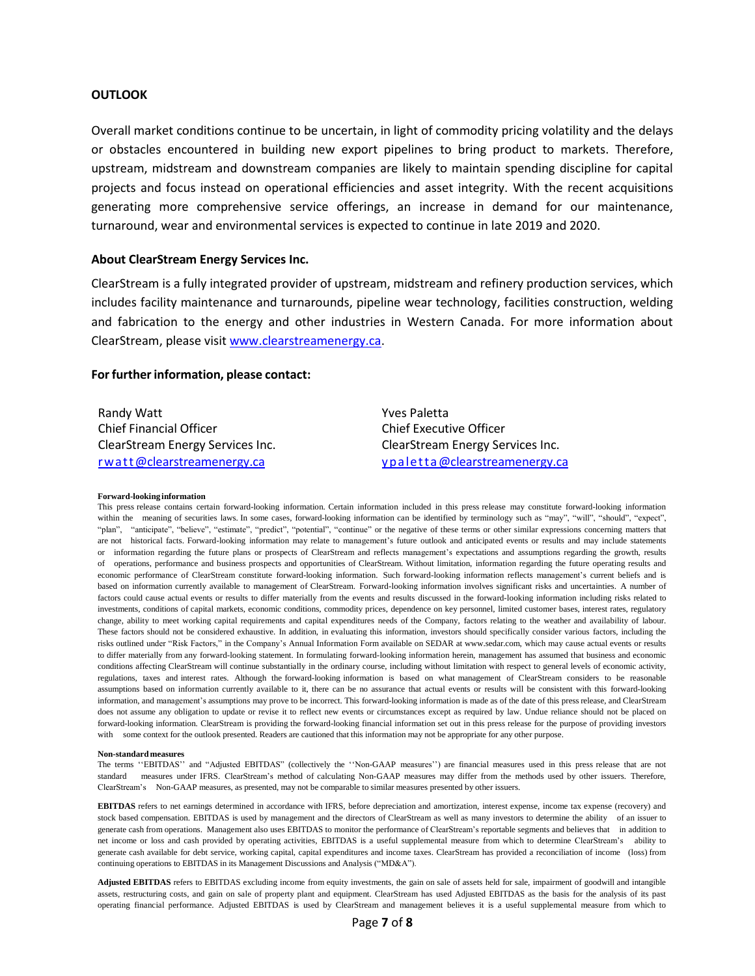#### **OUTLOOK**

Overall market conditions continue to be uncertain, in light of commodity pricing volatility and the delays or obstacles encountered in building new export pipelines to bring product to markets. Therefore, upstream, midstream and downstream companies are likely to maintain spending discipline for capital projects and focus instead on operational efficiencies and asset integrity. With the recent acquisitions generating more comprehensive service offerings, an increase in demand for our maintenance, turnaround, wear and environmental services is expected to continue in late 2019 and 2020.

#### **About ClearStream Energy Services Inc.**

ClearStream is a fully integrated provider of upstream, midstream and refinery production services, which includes facility maintenance and turnarounds, pipeline wear technology, facilities construction, welding and fabrication to the energy and other industries in Western Canada. For more information about ClearStream, please visit [www.clearstreamenergy.ca.](http://www.clearstreamenergy.ca/)

#### **Forfurther information, please contact:**

| Randy Watt                       |
|----------------------------------|
| <b>Chief Financial Officer</b>   |
| ClearStream Energy Services Inc. |
| rwatt@clearstreamenergy.ca       |

Yves Paletta Chief Executive Officer ClearStream Energy Services Inc. [ypaletta@clearstreamenergy.ca](mailto:ypaletta@clearstreamenergy.ca)

#### **Forward-looking information**

This press release contains certain forward-looking information. Certain information included in this press release may constitute forward-looking information within the meaning of securities laws. In some cases, forward-looking information can be identified by terminology such as "may", "will", "should", "expect", "plan", "anticipate", "believe", "estimate", "predict", "potential", "continue" or the negative of these terms or other similar expressions concerning matters that are not historical facts. Forward-looking information may relate to management's future outlook and anticipated events or results and may include statements or information regarding the future plans or prospects of ClearStream and reflects management's expectations and assumptions regarding the growth, results of operations, performance and business prospects and opportunities of ClearStream. Without limitation, information regarding the future operating results and economic performance of ClearStream constitute forward-looking information. Such forward-looking information reflects management's current beliefs and is based on information currently available to management of ClearStream. Forward-looking information involves significant risks and uncertainties. A number of factors could cause actual events or results to differ materially from the events and results discussed in the forward-looking information including risks related to investments, conditions of capital markets, economic conditions, commodity prices, dependence on key personnel, limited customer bases, interest rates, regulatory change, ability to meet working capital requirements and capital expenditures needs of the Company, factors relating to the weather and availability of labour. These factors should not be considered exhaustive. In addition, in evaluating this information, investors should specifically consider various factors, including the risks outlined under "Risk Factors," in the Company's Annual Information Form available on SEDAR a[t www.sedar.com,](http://www.sedar.com/) which may cause actual events or results to differ materially from any forward-looking statement. In formulating forward-looking information herein, management has assumed that business and economic conditions affecting ClearStream will continue substantially in the ordinary course, including without limitation with respect to general levels of economic activity, regulations, taxes and interest rates. Although the forward-looking information is based on what management of ClearStream considers to be reasonable assumptions based on information currently available to it, there can be no assurance that actual events or results will be consistent with this forward-looking information, and management's assumptions may prove to be incorrect. This forward-looking information is made as of the date of this press release, and ClearStream does not assume any obligation to update or revise it to reflect new events or circumstances except as required by law. Undue reliance should not be placed on forward-looking information. ClearStream is providing the forward-looking financial information set out in this press release for the purpose of providing investors with some context for the outlook presented. Readers are cautioned that this information may not be appropriate for any other purpose.

#### **Non-standard measures**

The terms ''EBITDAS'' and "Adjusted EBITDAS" (collectively the ''Non-GAAP measures'') are financial measures used in this press release that are not standard measures under IFRS. ClearStream's method of calculating Non-GAAP measures may differ from the methods used by other issuers. Therefore, ClearStream's Non-GAAP measures, as presented, may not be comparable to similar measures presented by other issuers.

**EBITDAS** refers to net earnings determined in accordance with IFRS, before depreciation and amortization, interest expense, income tax expense (recovery) and stock based compensation. EBITDAS is used by management and the directors of ClearStream as well as many investors to determine the ability of an issuer to generate cash from operations. Management also uses EBITDAS to monitor the performance of ClearStream's reportable segments and believes that in addition to net income or loss and cash provided by operating activities, EBITDAS is a useful supplemental measure from which to determine ClearStream's ability to generate cash available for debt service, working capital, capital expenditures and income taxes. ClearStream has provided a reconciliation of income (loss) from continuing operations to EBITDAS in its Management Discussions and Analysis ("MD&A").

**Adjusted EBITDAS** refers to EBITDAS excluding income from equity investments, the gain on sale of assets held for sale, impairment of goodwill and intangible assets, restructuring costs, and gain on sale of property plant and equipment. ClearStream has used Adjusted EBITDAS as the basis for the analysis of its past operating financial performance. Adjusted EBITDAS is used by ClearStream and management believes it is a useful supplemental measure from which to